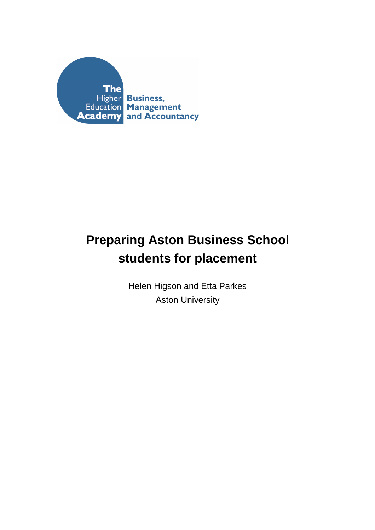

# **Preparing Aston Business School students for placement**

Helen Higson and Etta Parkes Aston University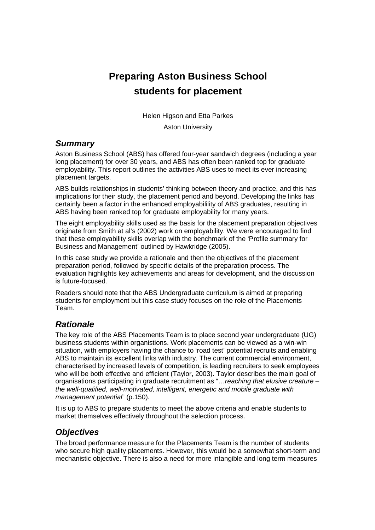# **Preparing Aston Business School students for placement**

Helen Higson and Etta Parkes

Aston University

#### *Summary*

Aston Business School (ABS) has offered four-year sandwich degrees (including a year long placement) for over 30 years, and ABS has often been ranked top for graduate employability. This report outlines the activities ABS uses to meet its ever increasing placement targets.

ABS builds relationships in students' thinking between theory and practice, and this has implications for their study, the placement period and beyond. Developing the links has certainly been a factor in the enhanced employabilility of ABS graduates, resulting in ABS having been ranked top for graduate employability for many years.

The eight employability skills used as the basis for the placement preparation objectives originate from Smith at al's (2002) work on employability. We were encouraged to find that these employability skills overlap with the benchmark of the 'Profile summary for Business and Management' outlined by Hawkridge (2005).

In this case study we provide a rationale and then the objectives of the placement preparation period, followed by specific details of the preparation process. The evaluation highlights key achievements and areas for development, and the discussion is future-focused.

Readers should note that the ABS Undergraduate curriculum is aimed at preparing students for employment but this case study focuses on the role of the Placements Team.

# *Rationale*

The key role of the ABS Placements Team is to place second year undergraduate (UG) business students within organistions. Work placements can be viewed as a win-win situation, with employers having the chance to 'road test' potential recruits and enabling ABS to maintain its excellent links with industry. The current commercial environment, characterised by increased levels of competition, is leading recruiters to seek employees who will be both effective and efficient (Taylor, 2003). Taylor describes the main goal of organisations participating in graduate recruitment as "…*reaching that elusive creature – the well-qualified, well-motivated, intelligent, energetic and mobile graduate with management potential*" (p.150).

It is up to ABS to prepare students to meet the above criteria and enable students to market themselves effectively throughout the selection process.

# *Objectives*

The broad performance measure for the Placements Team is the number of students who secure high quality placements. However, this would be a somewhat short-term and mechanistic objective. There is also a need for more intangible and long term measures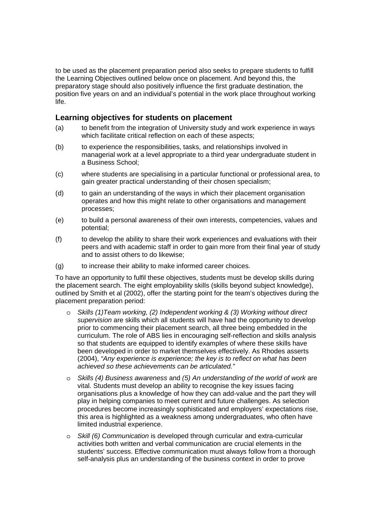to be used as the placement preparation period also seeks to prepare students to fulfill the Learning Objectives outlined below once on placement. And beyond this, the preparatory stage should also positively influence the first graduate destination, the position five years on and an individual's potential in the work place throughout working life.

#### **Learning objectives for students on placement**

- (a) to benefit from the integration of University study and work experience in ways which facilitate critical reflection on each of these aspects:
- (b) to experience the responsibilities, tasks, and relationships involved in managerial work at a level appropriate to a third year undergraduate student in a Business School;
- (c) where students are specialising in a particular functional or professional area, to gain greater practical understanding of their chosen specialism;
- (d) to gain an understanding of the ways in which their placement organisation operates and how this might relate to other organisations and management processes;
- (e) to build a personal awareness of their own interests, competencies, values and potential;
- (f) to develop the ability to share their work experiences and evaluations with their peers and with academic staff in order to gain more from their final year of study and to assist others to do likewise;
- (g) to increase their ability to make informed career choices.

To have an opportunity to fulfil these objectives, students must be develop skills during the placement search. The eight employability skills (skills beyond subject knowledge), outlined by Smith et al (2002), offer the starting point for the team's objectives during the placement preparation period:

- o *Skills (1)Team working, (2) Independent working & (3) Working without direct supervision* are skills which all students will have had the opportunity to develop prior to commencing their placement search, all three being embedded in the curriculum. The role of ABS lies in encouraging self-reflection and skills analysis so that students are equipped to identify examples of where these skills have been developed in order to market themselves effectively. As Rhodes asserts (2004), *"Any experience is experience; the key is to reflect on what has been achieved so these achievements can be articulated."*
- o *Skills (4) Business awareness* and *(5) An understanding of the world of work* are vital. Students must develop an ability to recognise the key issues facing organisations plus a knowledge of how they can add-value and the part they will play in helping companies to meet current and future challenges. As selection procedures become increasingly sophisticated and employers' expectations rise, this area is highlighted as a weakness among undergraduates, who often have limited industrial experience.
- o *Skill (6) Communication* is developed through curricular and extra-curricular activities both written and verbal communication are crucial elements in the students' success. Effective communication must always follow from a thorough self-analysis plus an understanding of the business context in order to prove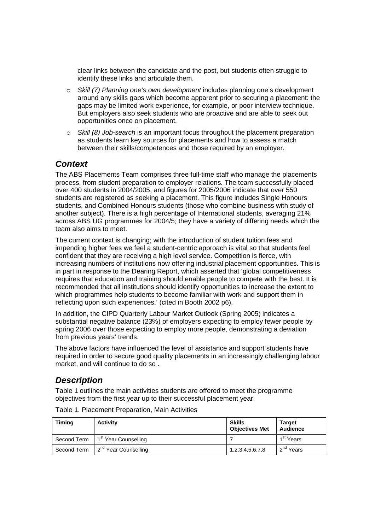clear links between the candidate and the post, but students often struggle to identify these links and articulate them.

- o *Skill (7) Planning one's own development* includes planning one's development around any skills gaps which become apparent prior to securing a placement: the gaps may be limited work experience, for example, or poor interview technique. But employers also seek students who are proactive and are able to seek out opportunities once on placement.
- o *Skill (8) Job-search* is an important focus throughout the placement preparation as students learn key sources for placements and how to assess a match between their skills/competences and those required by an employer.

# *Context*

The ABS Placements Team comprises three full-time staff who manage the placements process, from student preparation to employer relations. The team successfully placed over 400 students in 2004/2005, and figures for 2005/2006 indicate that over 550 students are registered as seeking a placement. This figure includes Single Honours students, and Combined Honours students (those who combine business with study of another subject). There is a high percentage of International students, averaging 21% across ABS UG programmes for 2004/5; they have a variety of differing needs which the team also aims to meet.

The current context is changing; with the introduction of student tuition fees and impending higher fees we feel a student-centric approach is vital so that students feel confident that they are receiving a high level service. Competition is fierce, with increasing numbers of institutions now offering industrial placement opportunities. This is in part in response to the Dearing Report, which asserted that 'global competitiveness requires that education and training should enable people to compete with the best. It is recommended that all institutions should identify opportunities to increase the extent to which programmes help students to become familiar with work and support them in reflecting upon such experiences.' (cited in Booth 2002 p6).

In addition, the CIPD Quarterly Labour Market Outlook (Spring 2005) indicates a substantial negative balance (23%) of employers expecting to employ fewer people by spring 2006 over those expecting to employ more people, demonstrating a deviation from previous years' trends.

The above factors have influenced the level of assistance and support students have required in order to secure good quality placements in an increasingly challenging labour market, and will continue to do so .

# *Description*

Table 1 outlines the main activities students are offered to meet the programme objectives from the first year up to their successful placement year.

| <b>Timing</b> | <b>Activity</b>                                | <b>Skills</b><br><b>Objectives Met</b> | <b>Target</b><br><b>Audience</b> |
|---------------|------------------------------------------------|----------------------------------------|----------------------------------|
|               | Second Term   1 <sup>st</sup> Year Counselling |                                        | 1 <sup>st</sup> Years            |
|               | Second Term $\int 2^{nd}$ Year Counselling     | 1,2,3,4,5,6,7,8                        | 2 <sup>nd</sup> Years            |

Table 1. Placement Preparation, Main Activities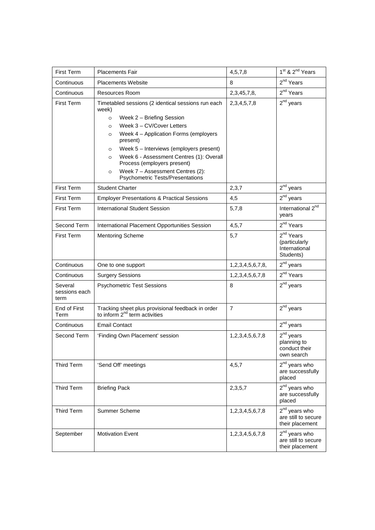| First Term                       | <b>Placements Fair</b>                                                                                                                                                                                                                                                                                                                                                                                                                            | 4,5,7,8          | 1 <sup>st</sup> & 2 <sup>nd</sup> Years                              |
|----------------------------------|---------------------------------------------------------------------------------------------------------------------------------------------------------------------------------------------------------------------------------------------------------------------------------------------------------------------------------------------------------------------------------------------------------------------------------------------------|------------------|----------------------------------------------------------------------|
| Continuous                       | <b>Placements Website</b>                                                                                                                                                                                                                                                                                                                                                                                                                         | 8                | 2 <sup>nd</sup> Years                                                |
| Continuous                       | <b>Resources Room</b>                                                                                                                                                                                                                                                                                                                                                                                                                             | 2,3,45,7,8,      | 2 <sup>nd</sup> Years                                                |
| <b>First Term</b>                | Timetabled sessions (2 identical sessions run each<br>week)<br>Week 2 - Briefing Session<br>$\circ$<br>Week 3 - CV/Cover Letters<br>$\circ$<br>Week 4 - Application Forms (employers<br>$\circ$<br>present)<br>Week 5 - Interviews (employers present)<br>$\circ$<br>Week 6 - Assessment Centres (1): Overall<br>$\circ$<br>Process (employers present)<br>Week 7 - Assessment Centres (2):<br>$\circ$<br><b>Psychometric Tests/Presentations</b> | 2, 3, 4, 5, 7, 8 | $2nd$ years                                                          |
| <b>First Term</b>                | <b>Student Charter</b>                                                                                                                                                                                                                                                                                                                                                                                                                            | 2,3,7            | $2^{nd}$ years                                                       |
| First Term                       | <b>Employer Presentations &amp; Practical Sessions</b>                                                                                                                                                                                                                                                                                                                                                                                            | 4,5              | $2^{nd}$ years                                                       |
| First Term                       | International Student Session                                                                                                                                                                                                                                                                                                                                                                                                                     | 5,7,8            | International 2 <sup>nd</sup><br>years                               |
| Second Term                      | International Placement Opportunities Session                                                                                                                                                                                                                                                                                                                                                                                                     | 4, 5, 7          | 2 <sup>nd</sup> Years                                                |
| <b>First Term</b>                | <b>Mentoring Scheme</b>                                                                                                                                                                                                                                                                                                                                                                                                                           | 5,7              | 2 <sup>nd</sup> Years<br>(particularly<br>International<br>Students) |
| Continuous                       | One to one support                                                                                                                                                                                                                                                                                                                                                                                                                                | 1,2,3,4,5,6,7,8, | $2^{nd}$ years                                                       |
| Continuous                       | <b>Surgery Sessions</b>                                                                                                                                                                                                                                                                                                                                                                                                                           | 1,2,3,4,5,6,7,8  | 2 <sup>nd</sup> Years                                                |
| Several<br>sessions each<br>term | <b>Psychometric Test Sessions</b>                                                                                                                                                                                                                                                                                                                                                                                                                 | 8                | $2^{nd}$ years                                                       |
| End of First<br>Term             | Tracking sheet plus provisional feedback in order<br>to inform 2 <sup>nd</sup> term activities                                                                                                                                                                                                                                                                                                                                                    | $\overline{7}$   | $2^{nd}$ years                                                       |
| Continuous                       | <b>Email Contact</b>                                                                                                                                                                                                                                                                                                                                                                                                                              |                  | $2^{nd}$ years                                                       |
| Second Term                      | 'Finding Own Placement' session                                                                                                                                                                                                                                                                                                                                                                                                                   | 1,2,3,4,5,6,7,8  | 2 <sup>nd</sup> years<br>planning to<br>conduct their<br>own search  |
| Third Term                       | 'Send Off' meetings                                                                                                                                                                                                                                                                                                                                                                                                                               | 4, 5, 7          | 2 <sup>nd</sup> years who<br>are successfully<br>placed              |
| <b>Third Term</b>                | <b>Briefing Pack</b>                                                                                                                                                                                                                                                                                                                                                                                                                              | 2,3,5,7          | 2 <sup>nd</sup> years who<br>are successfully<br>placed              |
| Third Term                       | Summer Scheme                                                                                                                                                                                                                                                                                                                                                                                                                                     | 1,2,3,4,5,6,7,8  | 2 <sup>nd</sup> years who<br>are still to secure<br>their placement  |
| September                        | <b>Motivation Event</b>                                                                                                                                                                                                                                                                                                                                                                                                                           | 1,2,3,4,5,6,7,8  | 2 <sup>nd</sup> years who<br>are still to secure<br>their placement  |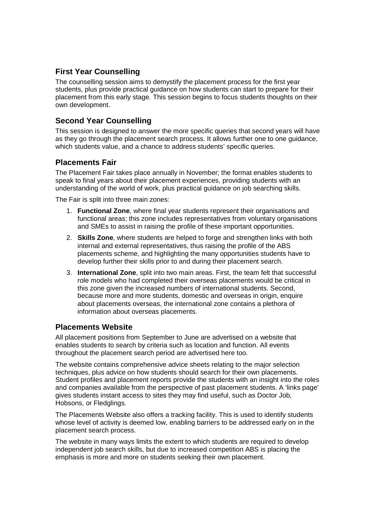# **First Year Counselling**

The counselling session aims to demystify the placement process for the first year students, plus provide practical guidance on how students can start to prepare for their placement from this early stage. This session begins to focus students thoughts on their own development.

# **Second Year Counselling**

This session is designed to answer the more specific queries that second years will have as they go through the placement search process. It allows further one to one guidance, which students value, and a chance to address students' specific queries.

#### **Placements Fair**

The Placement Fair takes place annually in November; the format enables students to speak to final years about their placement experiences, providing students with an understanding of the world of work, plus practical guidance on job searching skills.

The Fair is split into three main zones:

- 1. **Functional Zone**, where final year students represent their organisations and functional areas; this zone includes representatives from voluntary organisations and SMEs to assist in raising the profile of these important opportunities.
- 2. **Skills Zone**, where students are helped to forge and strengthen links with both internal and external representatives, thus raising the profile of the ABS placements scheme, and highlighting the many opportunities students have to develop further their skills prior to and during their placement search.
- 3. **International Zone**, split into two main areas. First, the team felt that successful role models who had completed their overseas placements would be critical in this zone given the increased numbers of international students. Second, because more and more students, domestic and overseas in origin, enquire about placements overseas, the international zone contains a plethora of information about overseas placements.

#### **Placements Website**

All placement positions from September to June are advertised on a website that enables students to search by criteria such as location and function. All events throughout the placement search period are advertised here too.

The website contains comprehensive advice sheets relating to the major selection techniques, plus advice on how students should search for their own placements. Student profiles and placement reports provide the students with an insight into the roles and companies available from the perspective of past placement students. A 'links page' gives students instant access to sites they may find useful, such as Doctor Job, Hobsons, or Fledglings.

The Placements Website also offers a tracking facility. This is used to identify students whose level of activity is deemed low, enabling barriers to be addressed early on in the placement search process.

The website in many ways limits the extent to which students are required to develop independent job search skills, but due to increased competition ABS is placing the emphasis is more and more on students seeking their own placement.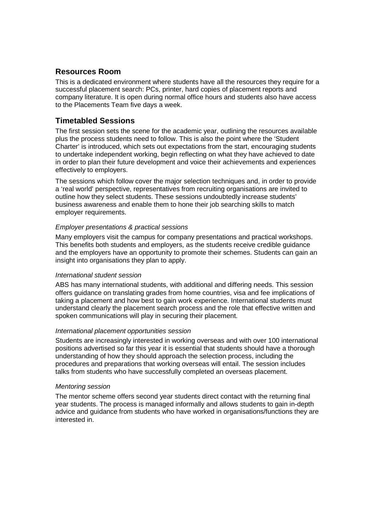#### **Resources Room**

This is a dedicated environment where students have all the resources they require for a successful placement search: PCs, printer, hard copies of placement reports and company literature. It is open during normal office hours and students also have access to the Placements Team five days a week.

#### **Timetabled Sessions**

The first session sets the scene for the academic year, outlining the resources available plus the process students need to follow. This is also the point where the 'Student Charter' is introduced, which sets out expectations from the start, encouraging students to undertake independent working, begin reflecting on what they have achieved to date in order to plan their future development and voice their achievements and experiences effectively to employers.

The sessions which follow cover the major selection techniques and, in order to provide a 'real world' perspective, representatives from recruiting organisations are invited to outline how they select students. These sessions undoubtedly increase students' business awareness and enable them to hone their job searching skills to match employer requirements.

#### *Employer presentations & practical sessions*

Many employers visit the campus for company presentations and practical workshops. This benefits both students and employers, as the students receive credible guidance and the employers have an opportunity to promote their schemes. Students can gain an insight into organisations they plan to apply.

#### *International student session*

ABS has many international students, with additional and differing needs. This session offers guidance on translating grades from home countries, visa and fee implications of taking a placement and how best to gain work experience. International students must understand clearly the placement search process and the role that effective written and spoken communications will play in securing their placement.

#### *International placement opportunities session*

Students are increasingly interested in working overseas and with over 100 international positions advertised so far this year it is essential that students should have a thorough understanding of how they should approach the selection process, including the procedures and preparations that working overseas will entail. The session includes talks from students who have successfully completed an overseas placement.

#### *Mentoring session*

The mentor scheme offers second year students direct contact with the returning final year students. The process is managed informally and allows students to gain in-depth advice and guidance from students who have worked in organisations/functions they are interested in.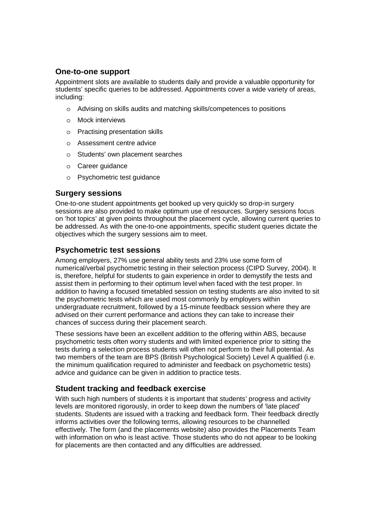#### **One-to-one support**

Appointment slots are available to students daily and provide a valuable opportunity for students' specific queries to be addressed. Appointments cover a wide variety of areas, including:

- o Advising on skills audits and matching skills/competences to positions
- o Mock interviews
- o Practising presentation skills
- o Assessment centre advice
- o Students' own placement searches
- o Career guidance
- o Psychometric test guidance

#### **Surgery sessions**

One-to-one student appointments get booked up very quickly so drop-in surgery sessions are also provided to make optimum use of resources. Surgery sessions focus on 'hot topics' at given points throughout the placement cycle, allowing current queries to be addressed. As with the one-to-one appointments, specific student queries dictate the objectives which the surgery sessions aim to meet.

#### **Psychometric test sessions**

Among employers, 27% use general ability tests and 23% use some form of numerical/verbal psychometric testing in their selection process (CIPD Survey, 2004). It is, therefore, helpful for students to gain experience in order to demystify the tests and assist them in performing to their optimum level when faced with the test proper. In addition to having a focused timetabled session on testing students are also invited to sit the psychometric tests which are used most commonly by employers within undergraduate recruitment, followed by a 15-minute feedback session where they are advised on their current performance and actions they can take to increase their chances of success during their placement search.

These sessions have been an excellent addition to the offering within ABS, because psychometric tests often worry students and with limited experience prior to sitting the tests during a selection process students will often not perform to their full potential. As two members of the team are BPS (British Psychological Society) Level A qualified (i.e. the minimum qualification required to administer and feedback on psychometric tests) advice and guidance can be given in addition to practice tests.

#### **Student tracking and feedback exercise**

With such high numbers of students it is important that students' progress and activity levels are monitored rigorously, in order to keep down the numbers of 'late placed' students. Students are issued with a tracking and feedback form. Their feedback directly informs activities over the following terms, allowing resources to be channelled effectively. The form (and the placements website) also provides the Placements Team with information on who is least active. Those students who do not appear to be looking for placements are then contacted and any difficulties are addressed.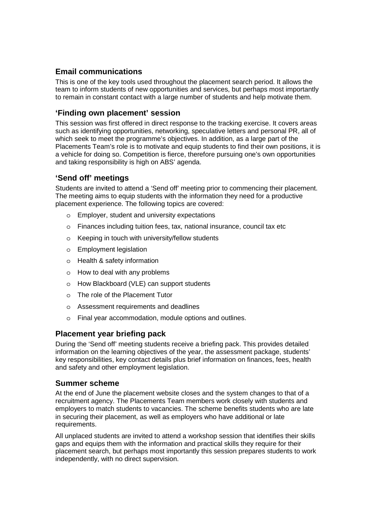#### **Email communications**

This is one of the key tools used throughout the placement search period. It allows the team to inform students of new opportunities and services, but perhaps most importantly to remain in constant contact with a large number of students and help motivate them.

#### **'Finding own placement' session**

This session was first offered in direct response to the tracking exercise. It covers areas such as identifying opportunities, networking, speculative letters and personal PR, all of which seek to meet the programme's objectives. In addition, as a large part of the Placements Team's role is to motivate and equip students to find their own positions, it is a vehicle for doing so. Competition is fierce, therefore pursuing one's own opportunities and taking responsibility is high on ABS' agenda.

#### **'Send off' meetings**

Students are invited to attend a 'Send off' meeting prior to commencing their placement. The meeting aims to equip students with the information they need for a productive placement experience. The following topics are covered:

- o Employer, student and university expectations
- o Finances including tuition fees, tax, national insurance, council tax etc
- o Keeping in touch with university/fellow students
- o Employment legislation
- o Health & safety information
- o How to deal with any problems
- o How Blackboard (VLE) can support students
- o The role of the Placement Tutor
- o Assessment requirements and deadlines
- o Final year accommodation, module options and outlines.

#### **Placement year briefing pack**

During the 'Send off' meeting students receive a briefing pack. This provides detailed information on the learning objectives of the year, the assessment package, students' key responsibilities, key contact details plus brief information on finances, fees, health and safety and other employment legislation.

#### **Summer scheme**

At the end of June the placement website closes and the system changes to that of a recruitment agency. The Placements Team members work closely with students and employers to match students to vacancies. The scheme benefits students who are late in securing their placement, as well as employers who have additional or late requirements.

All unplaced students are invited to attend a workshop session that identifies their skills gaps and equips them with the information and practical skills they require for their placement search, but perhaps most importantly this session prepares students to work independently, with no direct supervision.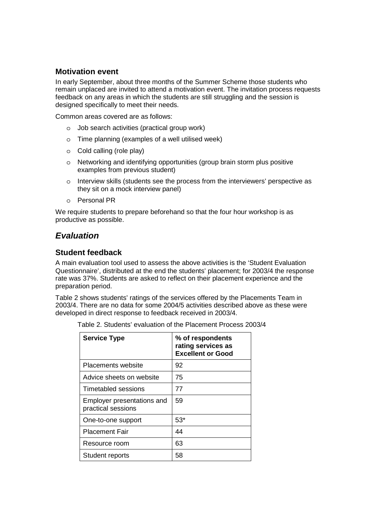#### **Motivation event**

In early September, about three months of the Summer Scheme those students who remain unplaced are invited to attend a motivation event. The invitation process requests feedback on any areas in which the students are still struggling and the session is designed specifically to meet their needs.

Common areas covered are as follows:

- o Job search activities (practical group work)
- o Time planning (examples of a well utilised week)
- o Cold calling (role play)
- o Networking and identifying opportunities (group brain storm plus positive examples from previous student)
- o Interview skills (students see the process from the interviewers' perspective as they sit on a mock interview panel)
- o Personal PR

We require students to prepare beforehand so that the four hour workshop is as productive as possible.

# *Evaluation*

#### **Student feedback**

A main evaluation tool used to assess the above activities is the 'Student Evaluation Questionnaire', distributed at the end the students' placement; for 2003/4 the response rate was 37%. Students are asked to reflect on their placement experience and the preparation period.

Table 2 shows students' ratings of the services offered by the Placements Team in 2003/4. There are no data for some 2004/5 activities described above as these were developed in direct response to feedback received in 2003/4.

| Table 2. Students' evaluation of the Placement Process 2003/4 |  |
|---------------------------------------------------------------|--|
|---------------------------------------------------------------|--|

| <b>Service Type</b>                              | % of respondents<br>rating services as<br><b>Excellent or Good</b> |
|--------------------------------------------------|--------------------------------------------------------------------|
| Placements website                               | 92                                                                 |
| Advice sheets on website                         | 75                                                                 |
| Timetabled sessions                              | 77                                                                 |
| Employer presentations and<br>practical sessions | 59                                                                 |
| One-to-one support                               | $53*$                                                              |
| <b>Placement Fair</b>                            | 44                                                                 |
| Resource room                                    | 63                                                                 |
| Student reports                                  | 58                                                                 |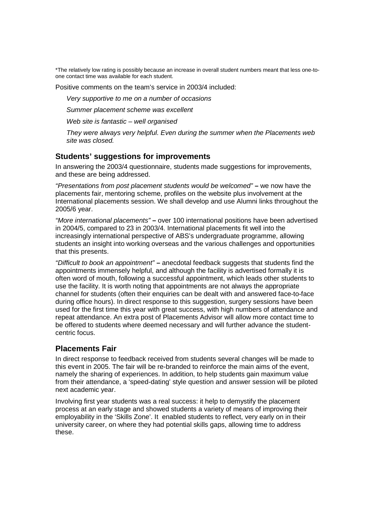\*The relatively low rating is possibly because an increase in overall student numbers meant that less one-toone contact time was available for each student.

Positive comments on the team's service in 2003/4 included:

*Very supportive to me on a number of occasions* 

*Summer placement scheme was excellent* 

*Web site is fantastic – well organised* 

*They were always very helpful. Even during the summer when the Placements web site was closed.*

#### **Students' suggestions for improvements**

In answering the 2003/4 questionnaire, students made suggestions for improvements, and these are being addressed.

*"Presentations from post placement students would be welcomed"* **–** we now have the placements fair, mentoring scheme, profiles on the website plus involvement at the International placements session. We shall develop and use Alumni links throughout the 2005/6 year.

*"More international placements"* **–** over 100 international positions have been advertised in 2004/5, compared to 23 in 2003/4. International placements fit well into the increasingly international perspective of ABS's undergraduate programme, allowing students an insight into working overseas and the various challenges and opportunities that this presents.

*"Difficult to book an appointment"* **–** anecdotal feedback suggests that students find the appointments immensely helpful, and although the facility is advertised formally it is often word of mouth, following a successful appointment, which leads other students to use the facility. It is worth noting that appointments are not always the appropriate channel for students (often their enquiries can be dealt with and answered face-to-face during office hours). In direct response to this suggestion, surgery sessions have been used for the first time this year with great success, with high numbers of attendance and repeat attendance. An extra post of Placements Advisor will allow more contact time to be offered to students where deemed necessary and will further advance the studentcentric focus.

#### **Placements Fair**

In direct response to feedback received from students several changes will be made to this event in 2005. The fair will be re-branded to reinforce the main aims of the event, namely the sharing of experiences. In addition, to help students gain maximum value from their attendance, a 'speed-dating' style question and answer session will be piloted next academic year.

Involving first year students was a real success: it help to demystify the placement process at an early stage and showed students a variety of means of improving their employability in the 'Skills Zone'. It enabled students to reflect, very early on in their university career, on where they had potential skills gaps, allowing time to address these.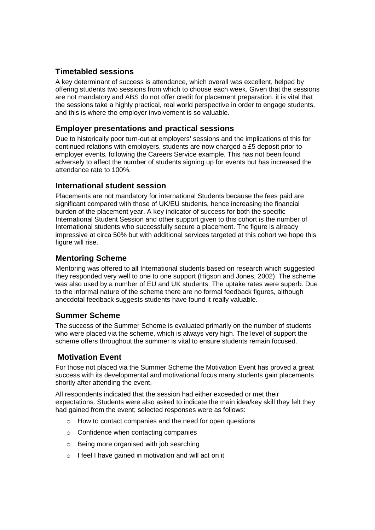# **Timetabled sessions**

A key determinant of success is attendance, which overall was excellent, helped by offering students two sessions from which to choose each week. Given that the sessions are not mandatory and ABS do not offer credit for placement preparation, it is vital that the sessions take a highly practical, real world perspective in order to engage students, and this is where the employer involvement is so valuable.

#### **Employer presentations and practical sessions**

Due to historically poor turn-out at employers' sessions and the implications of this for continued relations with employers, students are now charged a £5 deposit prior to employer events, following the Careers Service example. This has not been found adversely to affect the number of students signing up for events but has increased the attendance rate to 100%.

#### **International student session**

Placements are not mandatory for international Students because the fees paid are significant compared with those of UK/EU students, hence increasing the financial burden of the placement year. A key indicator of success for both the specific International Student Session and other support given to this cohort is the number of International students who successfully secure a placement. The figure is already impressive at circa 50% but with additional services targeted at this cohort we hope this figure will rise.

#### **Mentoring Scheme**

Mentoring was offered to all International students based on research which suggested they responded very well to one to one support (Higson and Jones, 2002). The scheme was also used by a number of EU and UK students. The uptake rates were superb. Due to the informal nature of the scheme there are no formal feedback figures, although anecdotal feedback suggests students have found it really valuable.

# **Summer Scheme**

The success of the Summer Scheme is evaluated primarily on the number of students who were placed via the scheme, which is always very high. The level of support the scheme offers throughout the summer is vital to ensure students remain focused.

#### **Motivation Event**

For those not placed via the Summer Scheme the Motivation Event has proved a great success with its developmental and motivational focus many students gain placements shortly after attending the event.

All respondents indicated that the session had either exceeded or met their expectations. Students were also asked to indicate the main idea/key skill they felt they had gained from the event; selected responses were as follows:

- o How to contact companies and the need for open questions
- o Confidence when contacting companies
- o Being more organised with job searching
- o I feel I have gained in motivation and will act on it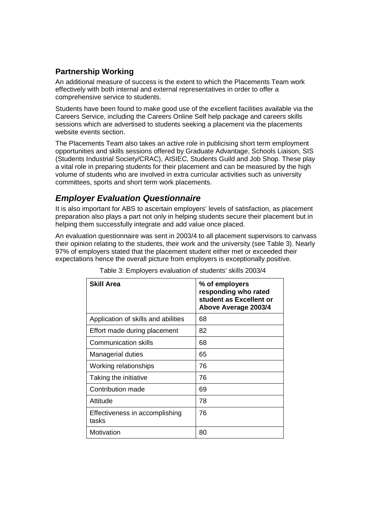# **Partnership Working**

An additional measure of success is the extent to which the Placements Team work effectively with both internal and external representatives in order to offer a comprehensive service to students.

Students have been found to make good use of the excellent facilities available via the Careers Service, including the Careers Online Self help package and careers skills sessions which are advertised to students seeking a placement via the placements website events section.

The Placements Team also takes an active role in publicising short term employment opportunities and skills sessions offered by Graduate Advantage, Schools Liaison, SIS (Students Industrial Society/CRAC), AISIEC, Students Guild and Job Shop. These play a vital role in preparing students for their placement and can be measured by the high volume of students who are involved in extra curricular activities such as university committees, sports and short term work placements.

# *Employer Evaluation Questionnaire*

It is also important for ABS to ascertain employers' levels of satisfaction, as placement preparation also plays a part not only in helping students secure their placement but in helping them successfully integrate and add value once placed.

An evaluation questionnaire was sent in 2003/4 to all placement supervisors to canvass their opinion relating to the students, their work and the university (see Table 3). Nearly 97% of employers stated that the placement student either met or exceeded their expectations hence the overall picture from employers is exceptionally positive.

| <b>Skill Area</b>                       | % of employers<br>responding who rated<br>student as Excellent or<br>Above Average 2003/4 |
|-----------------------------------------|-------------------------------------------------------------------------------------------|
| Application of skills and abilities     | 68                                                                                        |
| Effort made during placement            | 82                                                                                        |
| <b>Communication skills</b>             | 68                                                                                        |
| Managerial duties                       | 65                                                                                        |
| Working relationships                   | 76                                                                                        |
| Taking the initiative                   | 76                                                                                        |
| Contribution made                       | 69                                                                                        |
| Attitude                                | 78                                                                                        |
| Effectiveness in accomplishing<br>tasks | 76                                                                                        |
| Motivation                              | 80                                                                                        |

Table 3: Employers evaluation of students' skills 2003/4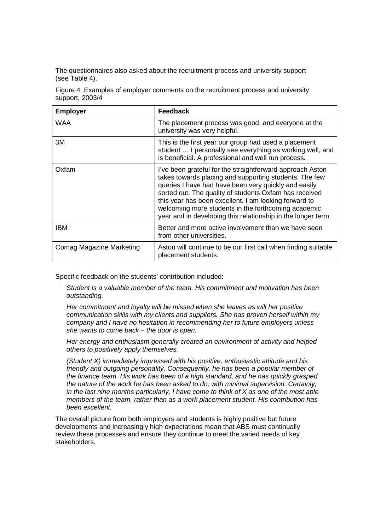The questionnaires also asked about the recruitment process and university support (see Table 4).

Figure 4. Examples of employer comments on the recruitment process and university support, 2003/4

| <b>Employer</b>                 | Feedback                                                                                                                                                                                                                                                                                                                                                                                                              |
|---------------------------------|-----------------------------------------------------------------------------------------------------------------------------------------------------------------------------------------------------------------------------------------------------------------------------------------------------------------------------------------------------------------------------------------------------------------------|
| <b>WAA</b>                      | The placement process was good, and everyone at the<br>university was very helpful.                                                                                                                                                                                                                                                                                                                                   |
| 3M                              | This is the first year our group had used a placement<br>student  I personally see everything as working well, and<br>is beneficial. A professional and well run process.                                                                                                                                                                                                                                             |
| Oxfam                           | I've been grateful for the straightforward approach Aston<br>takes towards placing and supporting students. The few<br>queries I have had have been very quickly and easily<br>sorted out. The quality of students Oxfam has received<br>this year has been excellent. I am looking forward to<br>welcoming more students in the forthcoming academic<br>year and in developing this relationship in the longer term. |
| IBM                             | Better and more active involvement than we have seen<br>from other universities.                                                                                                                                                                                                                                                                                                                                      |
| <b>Comag Magazine Marketing</b> | Aston will continue to be our first call when finding suitable<br>placement students.                                                                                                                                                                                                                                                                                                                                 |

Specific feedback on the students' contribution included:

*Student is a valuable member of the team. His commitment and motivation has been outstanding.* 

*Her commitment and loyalty will be missed when she leaves as will her positive communication skills with my clients and suppliers. She has proven herself within my company and I have no hesitation in recommending her to future employers unless she wants to come back – the door is open.* 

*Her energy and enthusiasm generally created an environment of activity and helped others to positively apply themselves.* 

*(Student X) immediately impressed with his positive, enthusiastic attitude and his friendly and outgoing personality. Consequently, he has been a popular member of the finance team. His work has been of a high standard, and he has quickly grasped the nature of the work he has been asked to do, with minimal supervision. Certainly, in the last nine months particularly, I have come to think of X as one of the most able members of the team, rather than as a work placement student. His contribution has been excellent.* 

The overall picture from both employers and students is highly positive but future developments and increasingly high expectations mean that ABS must continually review these processes and ensure they continue to meet the varied needs of key stakeholders.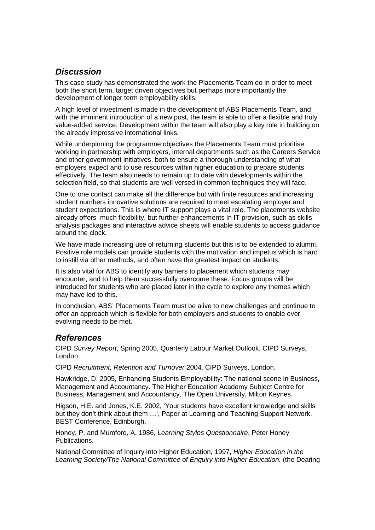# *Discussion*

This case study has demonstrated the work the Placements Team do in order to meet both the short term, target driven objectives but perhaps more importantly the development of longer term employability skills.

A high level of investment is made in the development of ABS Placements Team, and with the imminent introduction of a new post, the team is able to offer a flexible and truly value-added service. Development within the team will also play a key role in building on the already impressive international links.

While underpinning the programme objectives the Placements Team must prioritise working in partnership with employers, internal departments such as the Careers Service and other government initiatives, both to ensure a thorough understanding of what employers expect and to use resources within higher education to prepare students effectively. The team also needs to remain up to date with developments within the selection field, so that students are well versed in common techniques they will face.

One to one contact can make all the difference but with finite resources and increasing student numbers innovative solutions are required to meet escalating employer and student expectations. This is where IT support plays a vital role. The placements website already offers much flexibility, but further enhancements in IT provision, such as skills analysis packages and interactive advice sheets will enable students to access guidance around the clock.

We have made increasing use of returning students but this is to be extended to alumni. Positive role models can provide students with the motivation and impetus which is hard to instill via other methods, and often have the greatest impact on students.

It is also vital for ABS to identify any barriers to placement which students may encounter, and to help them successfully overcome these. Focus groups will be introduced for students who are placed later in the cycle to explore any themes which may have led to this.

In conclusion, ABS' Placements Team must be alive to new challenges and continue to offer an approach which is flexible for both employers and students to enable ever evolving needs to be met.

# *References*

CIPD *Survey Report*, Spring 2005, Quarterly Labour Market Outlook, CIPD Surveys, London.

CIPD *Recruitment, Retention and Turnover* 2004, CIPD Surveys, London.

Hawkridge, D. 2005, Enhancing Students Employability: The national scene in Business, Management and Accountancy. The Higher Education Academy Subject Centre for Business, Management and Accountancy, The Open University, Milton Keynes.

Higson, H.E. and Jones, K.E. 2002, 'Your students have excellent knowledge and skills but they don't think about them …', Paper at Learning and Teaching Support Network, BEST Conference, Edinburgh.

Honey, P. and Mumford, A. 1986, *Learning Styles Questionnaire*, Peter Honey Publications.

National Committee of Inquiry into Higher Education, 1997, *Higher Education in the Learning Society/The National Committee of Enquiry into Higher Education.* (the Dearing